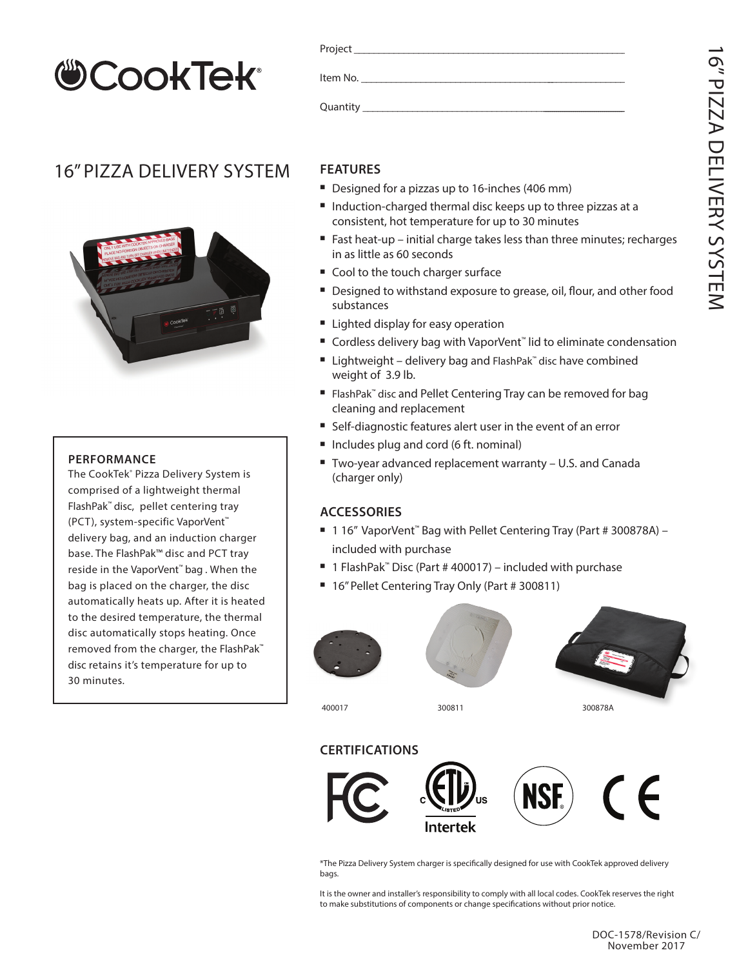# **CookTek®**

### 16" PIZZA DELIVERY SYSTEM



#### **PERFORMANCE**

The CookTek® Pizza Delivery System is comprised of a lightweight thermal FlashPak™ disc, pellet centering tray (PCT), system-specific VaporVent™ delivery bag, and an induction charger base. The FlashPak™ disc and PCT tray reside in the VaporVent™ bag . When the bag is placed on the charger, the disc automatically heats up. After it is heated to the desired temperature, the thermal disc automatically stops heating. Once removed from the charger, the FlashPak™ disc retains it's temperature for up to 30 minutes.

| Project_     |  |  |  |
|--------------|--|--|--|
| Item No.     |  |  |  |
| Quantity ___ |  |  |  |

#### **FEATURES**

- Designed for a pizzas up to 16-inches (406 mm)
- Induction-charged thermal disc keeps up to three pizzas at a consistent, hot temperature for up to 30 minutes
- Fast heat-up initial charge takes less than three minutes; recharges in as little as 60 seconds
- Cool to the touch charger surface
- Designed to withstand exposure to grease, oil, flour, and other food substances
- **E** Lighted display for easy operation
- Cordless delivery bag with VaporVent<sup>™</sup> lid to eliminate condensation
- Lightweight delivery bag and FlashPak™ disc have combined weight of 3.9 lb.
- FlashPak™ disc and Pellet Centering Tray can be removed for bag cleaning and replacement
- Self-diagnostic features alert user in the event of an error
- Includes plug and cord (6 ft. nominal)
- Two-year advanced replacement warranty U.S. and Canada (charger only)

#### **ACCESSORIES**

- 1 16" VaporVent<sup>™</sup> Bag with Pellet Centering Tray (Part # 300878A) included with purchase
- 1 FlashPak<sup>™</sup> Disc (Part # 400017) included with purchase
- 16" Pellet Centering Tray Only (Part # 300811)







400017 300811 300878A

#### **CERTIFICATIONS**



\*The Pizza Delivery System charger is specifically designed for use with CookTek approved delivery bags.

It is the owner and installer's responsibility to comply with all local codes. CookTek reserves the right to make substitutions of components or change specifications without prior notice.